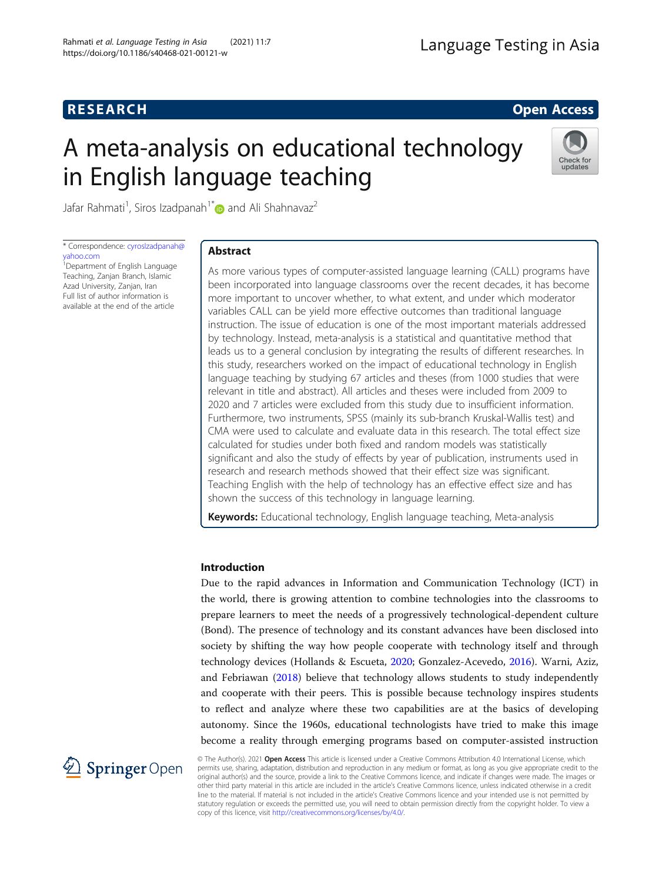# **RESEARCH RESEARCH** *CHECKER CHECKER CHECKER CHECKER CHECKER CHECKER CHECKER CHECKER CHECKER CHECKER CHECKER*

# A meta-analysis on educational technology in English language teaching



Jafar Rahmati<sup>1</sup>, Siros Izadpanah<sup>1[\\*](http://orcid.org/0000-0002-2061-8110)</sup> $\bm{\circ}$  and Ali Shahnavaz $^2$ 

\* Correspondence: [cyrosIzadpanah@](mailto:cyrosIzadpanah@yahoo.com) [yahoo.com](mailto:cyrosIzadpanah@yahoo.com)

<sup>1</sup> Department of English Language Teaching, Zanjan Branch, Islamic Azad University, Zanjan, Iran Full list of author information is available at the end of the article

# Abstract

As more various types of computer-assisted language learning (CALL) programs have been incorporated into language classrooms over the recent decades, it has become more important to uncover whether, to what extent, and under which moderator variables CALL can be yield more effective outcomes than traditional language instruction. The issue of education is one of the most important materials addressed by technology. Instead, meta-analysis is a statistical and quantitative method that leads us to a general conclusion by integrating the results of different researches. In this study, researchers worked on the impact of educational technology in English language teaching by studying 67 articles and theses (from 1000 studies that were relevant in title and abstract). All articles and theses were included from 2009 to 2020 and 7 articles were excluded from this study due to insufficient information. Furthermore, two instruments, SPSS (mainly its sub-branch Kruskal-Wallis test) and CMA were used to calculate and evaluate data in this research. The total effect size calculated for studies under both fixed and random models was statistically significant and also the study of effects by year of publication, instruments used in research and research methods showed that their effect size was significant. Teaching English with the help of technology has an effective effect size and has shown the success of this technology in language learning.

Keywords: Educational technology, English language teaching, Meta-analysis

# Introduction

Due to the rapid advances in Information and Communication Technology (ICT) in the world, there is growing attention to combine technologies into the classrooms to prepare learners to meet the needs of a progressively technological-dependent culture (Bond). The presence of technology and its constant advances have been disclosed into society by shifting the way how people cooperate with technology itself and through technology devices (Hollands & Escueta, [2020](#page-18-0); Gonzalez-Acevedo, [2016](#page-18-0)). Warni, Aziz, and Febriawan ([2018](#page-19-0)) believe that technology allows students to study independently and cooperate with their peers. This is possible because technology inspires students to reflect and analyze where these two capabilities are at the basics of developing autonomy. Since the 1960s, educational technologists have tried to make this image become a reality through emerging programs based on computer-assisted instruction



© The Author(s). 2021 Open Access This article is licensed under a Creative Commons Attribution 4.0 International License, which permits use, sharing, adaptation, distribution and reproduction in any medium or format, as long as you give appropriate credit to the original author(s) and the source, provide a link to the Creative Commons licence, and indicate if changes were made. The images or other third party material in this article are included in the article's Creative Commons licence, unless indicated otherwise in a credit line to the material. If material is not included in the article's Creative Commons licence and your intended use is not permitted by statutory regulation or exceeds the permitted use, you will need to obtain permission directly from the copyright holder. To view a copy of this licence, visit <http://creativecommons.org/licenses/by/4.0/>.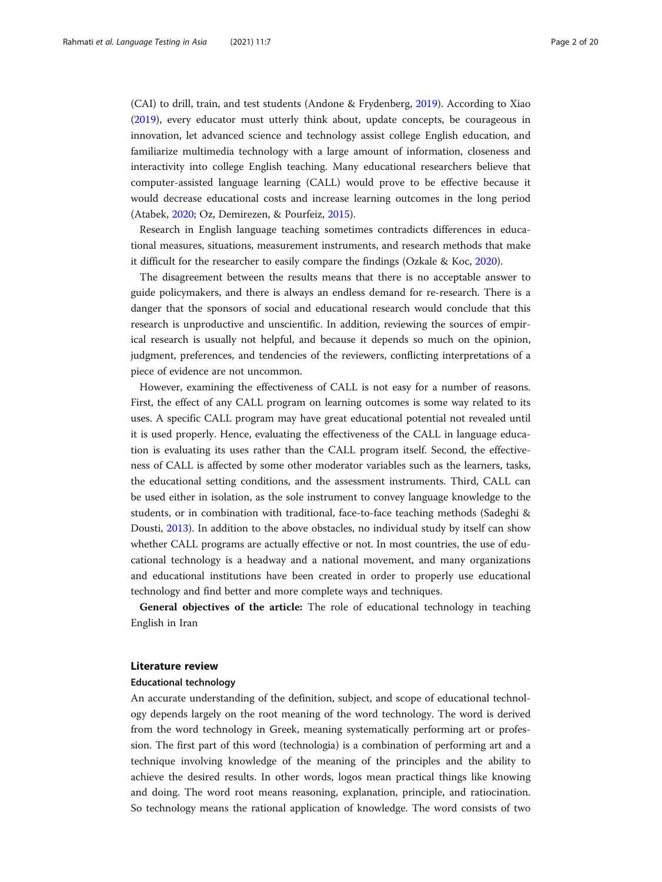(CAI) to drill, train, and test students (Andone & Frydenberg, [2019\)](#page-17-0). According to Xiao ([2019](#page-19-0)), every educator must utterly think about, update concepts, be courageous in innovation, let advanced science and technology assist college English education, and familiarize multimedia technology with a large amount of information, closeness and interactivity into college English teaching. Many educational researchers believe that computer-assisted language learning (CALL) would prove to be effective because it would decrease educational costs and increase learning outcomes in the long period (Atabek, [2020](#page-17-0); Oz, Demirezen, & Pourfeiz, [2015\)](#page-18-0).

Research in English language teaching sometimes contradicts differences in educational measures, situations, measurement instruments, and research methods that make it difficult for the researcher to easily compare the findings (Ozkale & Koc, [2020](#page-18-0)).

The disagreement between the results means that there is no acceptable answer to guide policymakers, and there is always an endless demand for re-research. There is a danger that the sponsors of social and educational research would conclude that this research is unproductive and unscientific. In addition, reviewing the sources of empirical research is usually not helpful, and because it depends so much on the opinion, judgment, preferences, and tendencies of the reviewers, conflicting interpretations of a piece of evidence are not uncommon.

However, examining the effectiveness of CALL is not easy for a number of reasons. First, the effect of any CALL program on learning outcomes is some way related to its uses. A specific CALL program may have great educational potential not revealed until it is used properly. Hence, evaluating the effectiveness of the CALL in language education is evaluating its uses rather than the CALL program itself. Second, the effectiveness of CALL is affected by some other moderator variables such as the learners, tasks, the educational setting conditions, and the assessment instruments. Third, CALL can be used either in isolation, as the sole instrument to convey language knowledge to the students, or in combination with traditional, face-to-face teaching methods (Sadeghi & Dousti, [2013\)](#page-19-0). In addition to the above obstacles, no individual study by itself can show whether CALL programs are actually effective or not. In most countries, the use of educational technology is a headway and a national movement, and many organizations and educational institutions have been created in order to properly use educational technology and find better and more complete ways and techniques.

General objectives of the article: The role of educational technology in teaching English in Iran

#### Literature review

#### Educational technology

An accurate understanding of the definition, subject, and scope of educational technology depends largely on the root meaning of the word technology. The word is derived from the word technology in Greek, meaning systematically performing art or profession. The first part of this word (technologia) is a combination of performing art and a technique involving knowledge of the meaning of the principles and the ability to achieve the desired results. In other words, logos mean practical things like knowing and doing. The word root means reasoning, explanation, principle, and ratiocination. So technology means the rational application of knowledge. The word consists of two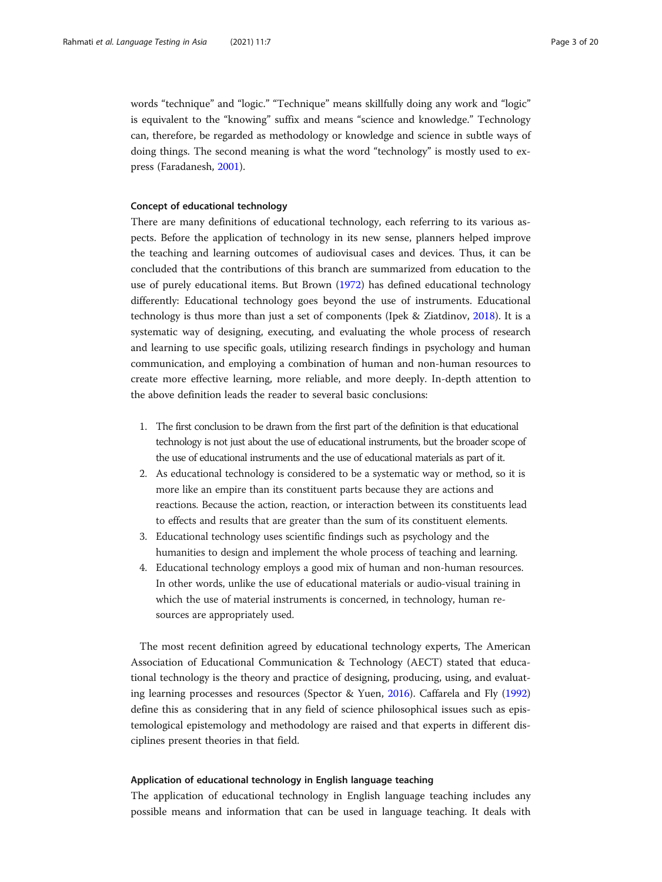words "technique" and "logic." "Technique" means skillfully doing any work and "logic" is equivalent to the "knowing" suffix and means "science and knowledge." Technology can, therefore, be regarded as methodology or knowledge and science in subtle ways of doing things. The second meaning is what the word "technology" is mostly used to express (Faradanesh, [2001](#page-17-0)).

#### Concept of educational technology

There are many definitions of educational technology, each referring to its various aspects. Before the application of technology in its new sense, planners helped improve the teaching and learning outcomes of audiovisual cases and devices. Thus, it can be concluded that the contributions of this branch are summarized from education to the use of purely educational items. But Brown [\(1972](#page-17-0)) has defined educational technology differently: Educational technology goes beyond the use of instruments. Educational technology is thus more than just a set of components (Ipek & Ziatdinov, [2018](#page-18-0)). It is a systematic way of designing, executing, and evaluating the whole process of research and learning to use specific goals, utilizing research findings in psychology and human communication, and employing a combination of human and non-human resources to create more effective learning, more reliable, and more deeply. In-depth attention to the above definition leads the reader to several basic conclusions:

- 1. The first conclusion to be drawn from the first part of the definition is that educational technology is not just about the use of educational instruments, but the broader scope of the use of educational instruments and the use of educational materials as part of it.
- 2. As educational technology is considered to be a systematic way or method, so it is more like an empire than its constituent parts because they are actions and reactions. Because the action, reaction, or interaction between its constituents lead to effects and results that are greater than the sum of its constituent elements.
- 3. Educational technology uses scientific findings such as psychology and the humanities to design and implement the whole process of teaching and learning.
- 4. Educational technology employs a good mix of human and non-human resources. In other words, unlike the use of educational materials or audio-visual training in which the use of material instruments is concerned, in technology, human resources are appropriately used.

The most recent definition agreed by educational technology experts, The American Association of Educational Communication & Technology (AECT) stated that educational technology is the theory and practice of designing, producing, using, and evaluating learning processes and resources (Spector & Yuen, [2016\)](#page-19-0). Caffarela and Fly ([1992](#page-17-0)) define this as considering that in any field of science philosophical issues such as epistemological epistemology and methodology are raised and that experts in different disciplines present theories in that field.

#### Application of educational technology in English language teaching

The application of educational technology in English language teaching includes any possible means and information that can be used in language teaching. It deals with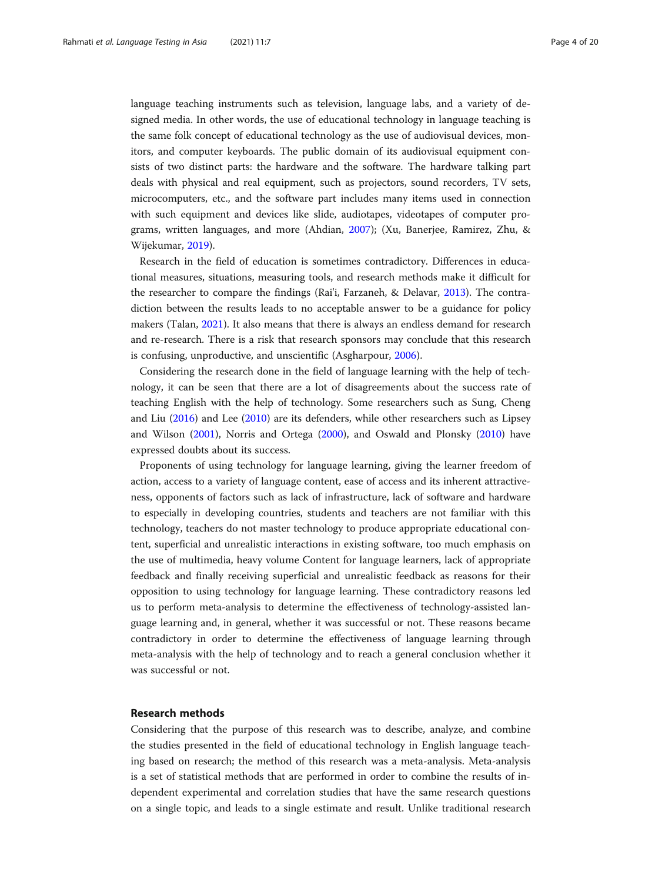language teaching instruments such as television, language labs, and a variety of designed media. In other words, the use of educational technology in language teaching is the same folk concept of educational technology as the use of audiovisual devices, monitors, and computer keyboards. The public domain of its audiovisual equipment consists of two distinct parts: the hardware and the software. The hardware talking part deals with physical and real equipment, such as projectors, sound recorders, TV sets, microcomputers, etc., and the software part includes many items used in connection with such equipment and devices like slide, audiotapes, videotapes of computer programs, written languages, and more (Ahdian, [2007\)](#page-17-0); (Xu, Banerjee, Ramirez, Zhu, & Wijekumar, [2019](#page-19-0)).

Research in the field of education is sometimes contradictory. Differences in educational measures, situations, measuring tools, and research methods make it difficult for the researcher to compare the findings (Rai'i, Farzaneh, & Delavar, [2013](#page-19-0)). The contradiction between the results leads to no acceptable answer to be a guidance for policy makers (Talan, [2021](#page-19-0)). It also means that there is always an endless demand for research and re-research. There is a risk that research sponsors may conclude that this research is confusing, unproductive, and unscientific (Asgharpour, [2006\)](#page-17-0).

Considering the research done in the field of language learning with the help of technology, it can be seen that there are a lot of disagreements about the success rate of teaching English with the help of technology. Some researchers such as Sung, Cheng and Liu ([2016](#page-19-0)) and Lee [\(2010](#page-18-0)) are its defenders, while other researchers such as Lipsey and Wilson [\(2001\)](#page-18-0), Norris and Ortega [\(2000\)](#page-18-0), and Oswald and Plonsky ([2010](#page-18-0)) have expressed doubts about its success.

Proponents of using technology for language learning, giving the learner freedom of action, access to a variety of language content, ease of access and its inherent attractiveness, opponents of factors such as lack of infrastructure, lack of software and hardware to especially in developing countries, students and teachers are not familiar with this technology, teachers do not master technology to produce appropriate educational content, superficial and unrealistic interactions in existing software, too much emphasis on the use of multimedia, heavy volume Content for language learners, lack of appropriate feedback and finally receiving superficial and unrealistic feedback as reasons for their opposition to using technology for language learning. These contradictory reasons led us to perform meta-analysis to determine the effectiveness of technology-assisted language learning and, in general, whether it was successful or not. These reasons became contradictory in order to determine the effectiveness of language learning through meta-analysis with the help of technology and to reach a general conclusion whether it was successful or not.

# Research methods

Considering that the purpose of this research was to describe, analyze, and combine the studies presented in the field of educational technology in English language teaching based on research; the method of this research was a meta-analysis. Meta-analysis is a set of statistical methods that are performed in order to combine the results of independent experimental and correlation studies that have the same research questions on a single topic, and leads to a single estimate and result. Unlike traditional research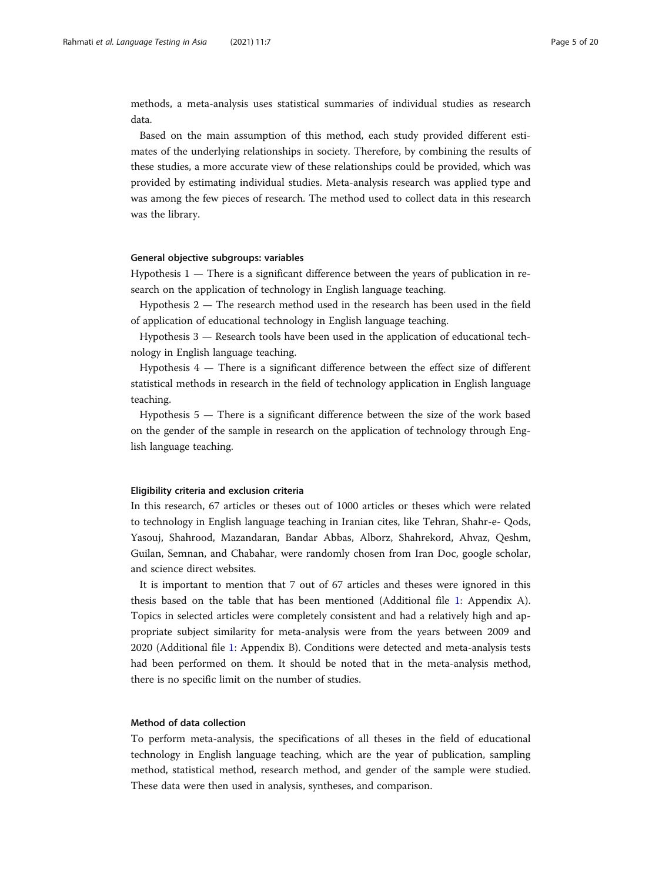methods, a meta-analysis uses statistical summaries of individual studies as research data.

Based on the main assumption of this method, each study provided different estimates of the underlying relationships in society. Therefore, by combining the results of these studies, a more accurate view of these relationships could be provided, which was provided by estimating individual studies. Meta-analysis research was applied type and was among the few pieces of research. The method used to collect data in this research was the library.

#### General objective subgroups: variables

Hypothesis 1 — There is a significant difference between the years of publication in research on the application of technology in English language teaching.

Hypothesis 2 — The research method used in the research has been used in the field of application of educational technology in English language teaching.

Hypothesis 3 — Research tools have been used in the application of educational technology in English language teaching.

Hypothesis 4 — There is a significant difference between the effect size of different statistical methods in research in the field of technology application in English language teaching.

Hypothesis 5 — There is a significant difference between the size of the work based on the gender of the sample in research on the application of technology through English language teaching.

#### Eligibility criteria and exclusion criteria

In this research, 67 articles or theses out of 1000 articles or theses which were related to technology in English language teaching in Iranian cites, like Tehran, Shahr-e- Qods, Yasouj, Shahrood, Mazandaran, Bandar Abbas, Alborz, Shahrekord, Ahvaz, Qeshm, Guilan, Semnan, and Chabahar, were randomly chosen from Iran Doc, google scholar, and science direct websites.

It is important to mention that 7 out of 67 articles and theses were ignored in this thesis based on the table that has been mentioned (Additional file [1](#page-16-0): Appendix A). Topics in selected articles were completely consistent and had a relatively high and appropriate subject similarity for meta-analysis were from the years between 2009 and 2020 (Additional file [1:](#page-16-0) Appendix B). Conditions were detected and meta-analysis tests had been performed on them. It should be noted that in the meta-analysis method, there is no specific limit on the number of studies.

#### Method of data collection

To perform meta-analysis, the specifications of all theses in the field of educational technology in English language teaching, which are the year of publication, sampling method, statistical method, research method, and gender of the sample were studied. These data were then used in analysis, syntheses, and comparison.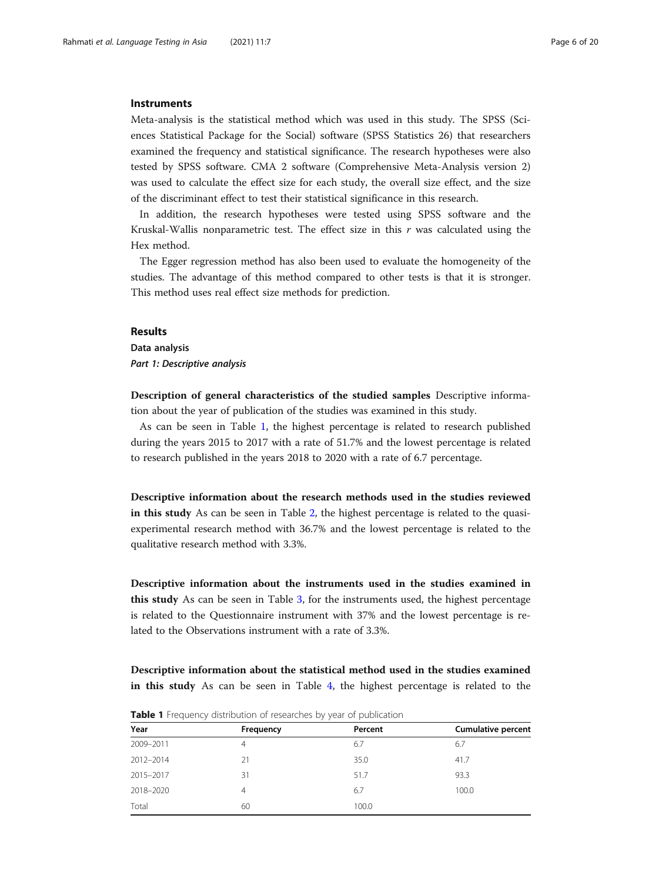#### **Instruments**

Meta-analysis is the statistical method which was used in this study. The SPSS (Sciences Statistical Package for the Social) software (SPSS Statistics 26) that researchers examined the frequency and statistical significance. The research hypotheses were also tested by SPSS software. CMA 2 software (Comprehensive Meta-Analysis version 2) was used to calculate the effect size for each study, the overall size effect, and the size of the discriminant effect to test their statistical significance in this research.

In addition, the research hypotheses were tested using SPSS software and the Kruskal-Wallis nonparametric test. The effect size in this  $r$  was calculated using the Hex method.

The Egger regression method has also been used to evaluate the homogeneity of the studies. The advantage of this method compared to other tests is that it is stronger. This method uses real effect size methods for prediction.

#### Results

Data analysis Part 1: Descriptive analysis

Description of general characteristics of the studied samples Descriptive information about the year of publication of the studies was examined in this study.

As can be seen in Table 1, the highest percentage is related to research published during the years 2015 to 2017 with a rate of 51.7% and the lowest percentage is related to research published in the years 2018 to 2020 with a rate of 6.7 percentage.

Descriptive information about the research methods used in the studies reviewed in this study As can be seen in Table [2](#page-6-0), the highest percentage is related to the quasiexperimental research method with 36.7% and the lowest percentage is related to the qualitative research method with 3.3%.

Descriptive information about the instruments used in the studies examined in this study As can be seen in Table [3](#page-6-0), for the instruments used, the highest percentage is related to the Questionnaire instrument with 37% and the lowest percentage is related to the Observations instrument with a rate of 3.3%.

Descriptive information about the statistical method used in the studies examined in this study As can be seen in Table [4](#page-7-0), the highest percentage is related to the

| Year      | Frequency | Percent | <b>Cumulative percent</b> |  |  |  |  |
|-----------|-----------|---------|---------------------------|--|--|--|--|
| 2009-2011 | 4         | 6.7     | 6.7                       |  |  |  |  |
| 2012-2014 | 21        | 35.0    | 41.7                      |  |  |  |  |
| 2015-2017 | 31        | 51.7    | 93.3                      |  |  |  |  |
| 2018-2020 | 4         | 6.7     | 100.0                     |  |  |  |  |
| Total     | 60        | 100.0   |                           |  |  |  |  |

**Table 1** Frequency distribution of researches by year of publication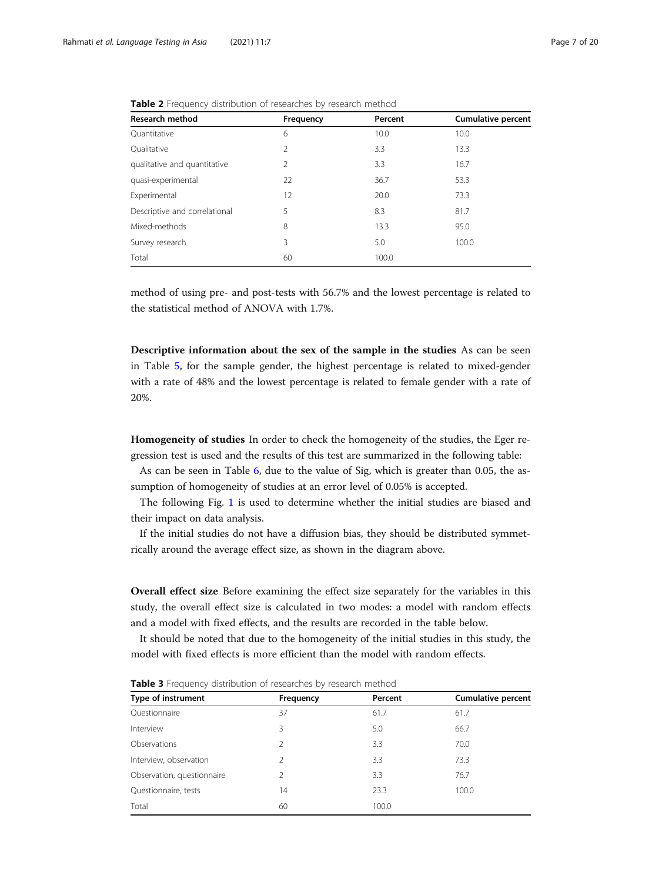| <b>Research method</b>        | Frequency | Percent | <b>Cumulative percent</b> |
|-------------------------------|-----------|---------|---------------------------|
| Quantitative                  | 6         | 10.0    | 10.0                      |
| Oualitative                   | 2         | 3.3     | 13.3                      |
| qualitative and quantitative  | 2         | 3.3     | 16.7                      |
| quasi-experimental            | 22        | 36.7    | 53.3                      |
| Experimental                  | 12        | 20.0    | 73.3                      |
| Descriptive and correlational | 5         | 8.3     | 81.7                      |
| Mixed-methods                 | 8         | 13.3    | 95.0                      |
| Survey research               | 3         | 5.0     | 100.0                     |
| Total                         | 60        | 100.0   |                           |

<span id="page-6-0"></span>Table 2 Frequency distribution of researches by research method

method of using pre- and post-tests with 56.7% and the lowest percentage is related to the statistical method of ANOVA with 1.7%.

Descriptive information about the sex of the sample in the studies As can be seen in Table [5,](#page-7-0) for the sample gender, the highest percentage is related to mixed-gender with a rate of 48% and the lowest percentage is related to female gender with a rate of 20%.

Homogeneity of studies In order to check the homogeneity of the studies, the Eger regression test is used and the results of this test are summarized in the following table:

As can be seen in Table [6](#page-8-0), due to the value of Sig, which is greater than 0.05, the assumption of homogeneity of studies at an error level of 0.05% is accepted.

The following Fig. [1](#page-8-0) is used to determine whether the initial studies are biased and their impact on data analysis.

If the initial studies do not have a diffusion bias, they should be distributed symmetrically around the average effect size, as shown in the diagram above.

Overall effect size Before examining the effect size separately for the variables in this study, the overall effect size is calculated in two modes: a model with random effects and a model with fixed effects, and the results are recorded in the table below.

It should be noted that due to the homogeneity of the initial studies in this study, the model with fixed effects is more efficient than the model with random effects.

| Type of instrument         | Frequency     | Percent | <b>Cumulative percent</b> |
|----------------------------|---------------|---------|---------------------------|
| Questionnaire              | 37            | 61.7    | 61.7                      |
| Interview                  | 3             | 5.0     | 66.7                      |
| Observations               | $\mathcal{P}$ | 3.3     | 70.0                      |
| Interview, observation     | $\mathcal{P}$ | 3.3     | 73.3                      |
| Observation, questionnaire | 2             | 3.3     | 76.7                      |
| Questionnaire, tests       | 14            | 23.3    | 100.0                     |
| Total                      | 60            | 100.0   |                           |

Table 3 Frequency distribution of researches by research method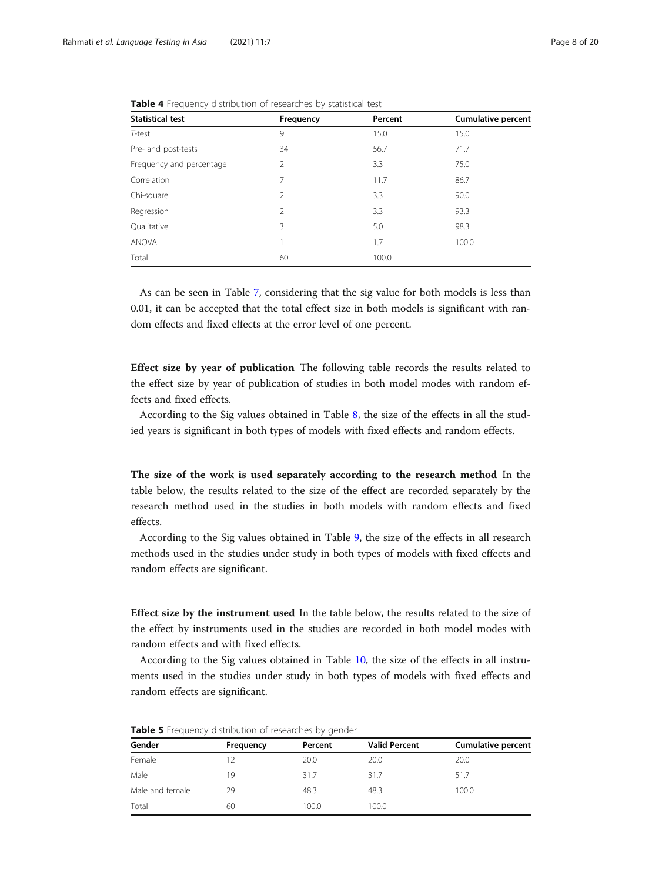| <b>Statistical test</b>  | Frequency      | Percent | <b>Cumulative percent</b> |
|--------------------------|----------------|---------|---------------------------|
| T-test                   | 9              | 15.0    | 15.0                      |
| Pre- and post-tests      | 34             | 56.7    | 71.7                      |
| Frequency and percentage | 2              | 3.3     | 75.0                      |
| Correlation              | 7              | 11.7    | 86.7                      |
| Chi-square               | $\overline{2}$ | 3.3     | 90.0                      |
| Regression               | 2              | 3.3     | 93.3                      |
| Qualitative              | 3              | 5.0     | 98.3                      |
| <b>ANOVA</b>             | 1              | 1.7     | 100.0                     |
| Total                    | 60             | 100.0   |                           |

<span id="page-7-0"></span>Table 4 Frequency distribution of researches by statistical test

As can be seen in Table [7](#page-9-0), considering that the sig value for both models is less than 0.01, it can be accepted that the total effect size in both models is significant with random effects and fixed effects at the error level of one percent.

Effect size by year of publication The following table records the results related to the effect size by year of publication of studies in both model modes with random effects and fixed effects.

According to the Sig values obtained in Table [8](#page-9-0), the size of the effects in all the studied years is significant in both types of models with fixed effects and random effects.

The size of the work is used separately according to the research method In the table below, the results related to the size of the effect are recorded separately by the research method used in the studies in both models with random effects and fixed effects.

According to the Sig values obtained in Table [9](#page-10-0), the size of the effects in all research methods used in the studies under study in both types of models with fixed effects and random effects are significant.

Effect size by the instrument used In the table below, the results related to the size of the effect by instruments used in the studies are recorded in both model modes with random effects and with fixed effects.

According to the Sig values obtained in Table [10](#page-10-0), the size of the effects in all instruments used in the studies under study in both types of models with fixed effects and random effects are significant.

| Gender          | Frequency | Percent | <b>Valid Percent</b> | <b>Cumulative percent</b> |
|-----------------|-----------|---------|----------------------|---------------------------|
| Female          | 12        | 20.0    | 20.0                 | 20.0                      |
| Male            | 19        | 31.7    | 31.7                 | 51.7                      |
| Male and female | 29        | 48.3    | 48.3                 | 100.0                     |
| Total           | 60        | 100.0   | 100.0                |                           |

Table 5 Frequency distribution of researches by gender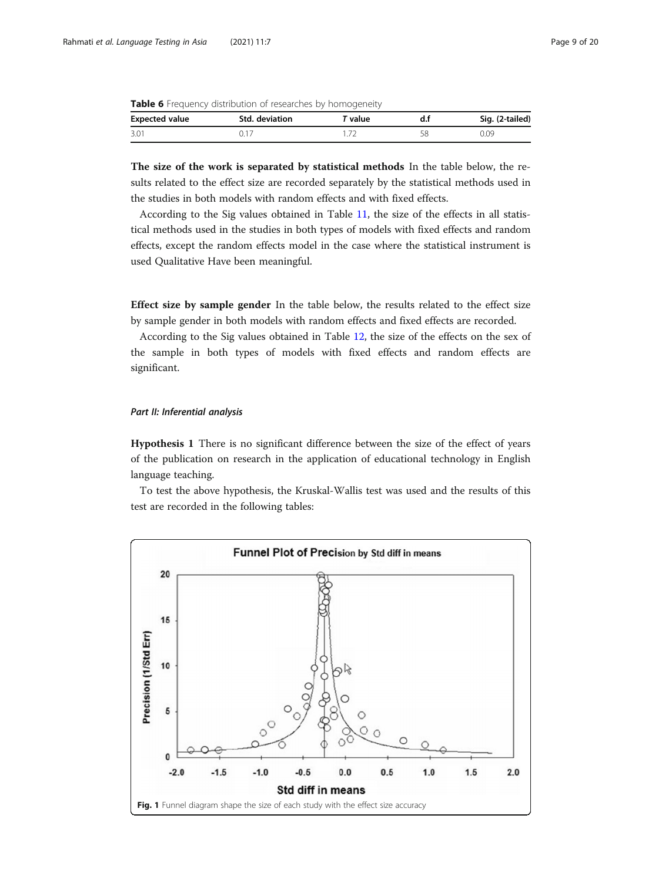<span id="page-8-0"></span>

|  |  |  |  |  |  |  |  |  | <b>Table 6</b> Frequency distribution of researches by homogeneity |
|--|--|--|--|--|--|--|--|--|--------------------------------------------------------------------|
|--|--|--|--|--|--|--|--|--|--------------------------------------------------------------------|

| <b>Expected value</b> | Std. deviation | ' value | Sig. (2-tailed) |
|-----------------------|----------------|---------|-----------------|
| 3.01                  |                |         | 0.09            |

The size of the work is separated by statistical methods In the table below, the results related to the effect size are recorded separately by the statistical methods used in the studies in both models with random effects and with fixed effects.

According to the Sig values obtained in Table [11,](#page-11-0) the size of the effects in all statistical methods used in the studies in both types of models with fixed effects and random effects, except the random effects model in the case where the statistical instrument is used Qualitative Have been meaningful.

Effect size by sample gender In the table below, the results related to the effect size by sample gender in both models with random effects and fixed effects are recorded.

According to the Sig values obtained in Table [12,](#page-11-0) the size of the effects on the sex of the sample in both types of models with fixed effects and random effects are significant.

### Part II: Inferential analysis

Hypothesis 1 There is no significant difference between the size of the effect of years of the publication on research in the application of educational technology in English language teaching.

To test the above hypothesis, the Kruskal-Wallis test was used and the results of this test are recorded in the following tables:

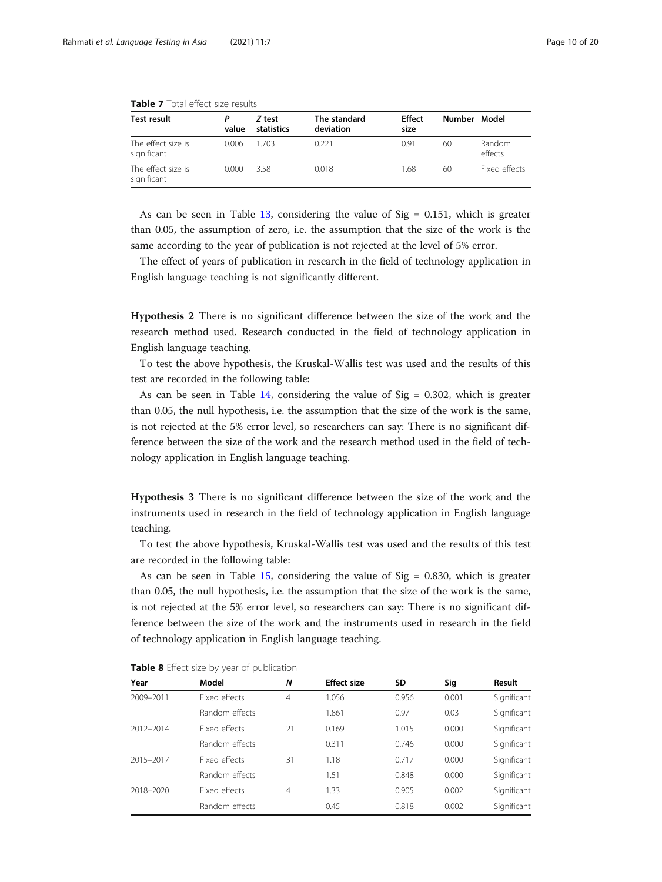| Test result                       | P<br>value | Z test<br>statistics | The standard<br>deviation | Effect<br>size | Number Model |                   |
|-----------------------------------|------------|----------------------|---------------------------|----------------|--------------|-------------------|
| The effect size is<br>significant | 0.006      | 1.703                | 0.221                     | 0.91           | 60           | Random<br>effects |
| The effect size is<br>significant | 0.000      | 3.58                 | 0.018                     | 1.68           | 60           | Fixed effects     |

<span id="page-9-0"></span>

| <b>Table 7</b> Total effect size results |  |  |
|------------------------------------------|--|--|
|                                          |  |  |

As can be seen in Table [13,](#page-12-0) considering the value of  $Sig = 0.151$ , which is greater than 0.05, the assumption of zero, i.e. the assumption that the size of the work is the same according to the year of publication is not rejected at the level of 5% error.

The effect of years of publication in research in the field of technology application in English language teaching is not significantly different.

Hypothesis 2 There is no significant difference between the size of the work and the research method used. Research conducted in the field of technology application in English language teaching.

To test the above hypothesis, the Kruskal-Wallis test was used and the results of this test are recorded in the following table:

As can be seen in Table  $14$ , considering the value of Sig = 0.302, which is greater than 0.05, the null hypothesis, i.e. the assumption that the size of the work is the same, is not rejected at the 5% error level, so researchers can say: There is no significant difference between the size of the work and the research method used in the field of technology application in English language teaching.

Hypothesis 3 There is no significant difference between the size of the work and the instruments used in research in the field of technology application in English language teaching.

To test the above hypothesis, Kruskal-Wallis test was used and the results of this test are recorded in the following table:

As can be seen in Table [15,](#page-13-0) considering the value of  $Sig = 0.830$ , which is greater than 0.05, the null hypothesis, i.e. the assumption that the size of the work is the same, is not rejected at the 5% error level, so researchers can say: There is no significant difference between the size of the work and the instruments used in research in the field of technology application in English language teaching.

|           | $\prime$       |    |                    |       |       |             |
|-----------|----------------|----|--------------------|-------|-------|-------------|
| Year      | Model          | N  | <b>Effect size</b> | SD    | Sig   | Result      |
| 2009-2011 | Fixed effects  | 4  | 1.056              | 0.956 | 0.001 | Significant |
|           | Random effects |    | 1.861              | 0.97  | 0.03  | Significant |
| 2012-2014 | Fixed effects  | 21 | 0.169              | 1.015 | 0.000 | Significant |
|           | Random effects |    | 0.311              | 0.746 | 0.000 | Significant |
| 2015-2017 | Fixed effects  | 31 | 1.18               | 0.717 | 0.000 | Significant |
|           | Random effects |    | 1.51               | 0.848 | 0.000 | Significant |
| 2018-2020 | Fixed effects  | 4  | 1.33               | 0.905 | 0.002 | Significant |
|           | Random effects |    | 0.45               | 0.818 | 0.002 | Significant |

Table 8 Effect size by year of publication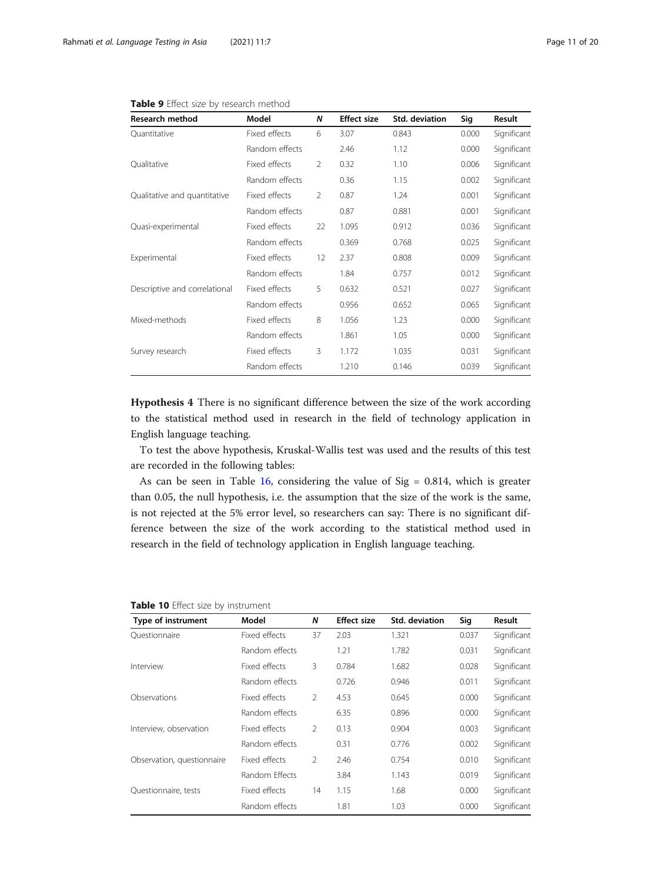| Research method               | Model          | N             | <b>Effect size</b> | Std. deviation | Sig   | Result      |
|-------------------------------|----------------|---------------|--------------------|----------------|-------|-------------|
| Quantitative                  | Fixed effects  | 6             | 3.07               | 0.843          | 0.000 | Significant |
|                               | Random effects |               | 2.46               | 1.12           | 0.000 | Significant |
| Qualitative                   | Fixed effects  | $\mathcal{P}$ | 0.32               | 1.10           | 0.006 | Significant |
|                               | Random effects |               | 0.36               | 1.15           | 0.002 | Significant |
| Qualitative and quantitative  | Fixed effects  | 2             | 0.87               | 1.24           | 0.001 | Significant |
|                               | Random effects |               | 0.87               | 0.881          | 0.001 | Significant |
| Quasi-experimental            | Fixed effects  | 22            | 1.095              | 0.912          | 0.036 | Significant |
|                               | Random effects |               | 0.369              | 0.768          | 0.025 | Significant |
| Experimental                  | Fixed effects  | 12            | 2.37               | 0.808          | 0.009 | Significant |
|                               | Random effects |               | 1.84               | 0.757          | 0.012 | Significant |
| Descriptive and correlational | Fixed effects  | 5             | 0.632              | 0.521          | 0.027 | Significant |
|                               | Random effects |               | 0.956              | 0.652          | 0.065 | Significant |
| Mixed-methods                 | Fixed effects  | 8             | 1.056              | 1.23           | 0.000 | Significant |
|                               | Random effects |               | 1.861              | 1.05           | 0.000 | Significant |
| Survey research               | Fixed effects  | 3             | 1.172              | 1.035          | 0.031 | Significant |
|                               | Random effects |               | 1.210              | 0.146          | 0.039 | Significant |

#### <span id="page-10-0"></span>Table 9 Effect size by research method

Hypothesis 4 There is no significant difference between the size of the work according to the statistical method used in research in the field of technology application in English language teaching.

To test the above hypothesis, Kruskal-Wallis test was used and the results of this test are recorded in the following tables:

As can be seen in Table  $16$ , considering the value of Sig = 0.814, which is greater than 0.05, the null hypothesis, i.e. the assumption that the size of the work is the same, is not rejected at the 5% error level, so researchers can say: There is no significant difference between the size of the work according to the statistical method used in research in the field of technology application in English language teaching.

| Type of instrument         | Model          | N              | <b>Effect size</b> | Std. deviation | Sig   | Result      |
|----------------------------|----------------|----------------|--------------------|----------------|-------|-------------|
| Ouestionnaire              | Fixed effects  | 37             | 2.03               | 1.321          | 0.037 | Significant |
|                            | Random effects |                | 1.21               | 1.782          | 0.031 | Significant |
| Interview                  | Fixed effects  | 3              | 0.784              | 1.682          | 0.028 | Significant |
|                            | Random effects |                | 0.726              | 0.946          | 0.011 | Significant |
| Observations               | Fixed effects  | $\overline{2}$ | 4.53               | 0.645          | 0.000 | Significant |
|                            | Random effects |                | 6.35               | 0.896          | 0.000 | Significant |
| Interview, observation     | Fixed effects  | $\overline{2}$ | 0.13               | 0.904          | 0.003 | Significant |
|                            | Random effects |                | 0.31               | 0.776          | 0.002 | Significant |
| Observation, questionnaire | Fixed effects  | $\overline{2}$ | 2.46               | 0.754          | 0.010 | Significant |
|                            | Random Effects |                | 3.84               | 1.143          | 0.019 | Significant |
| Questionnaire, tests       | Fixed effects  | 14             | 1.15               | 1.68           | 0.000 | Significant |
|                            | Random effects |                | 1.81               | 1.03           | 0.000 | Significant |

#### Table 10 Effect size by instrument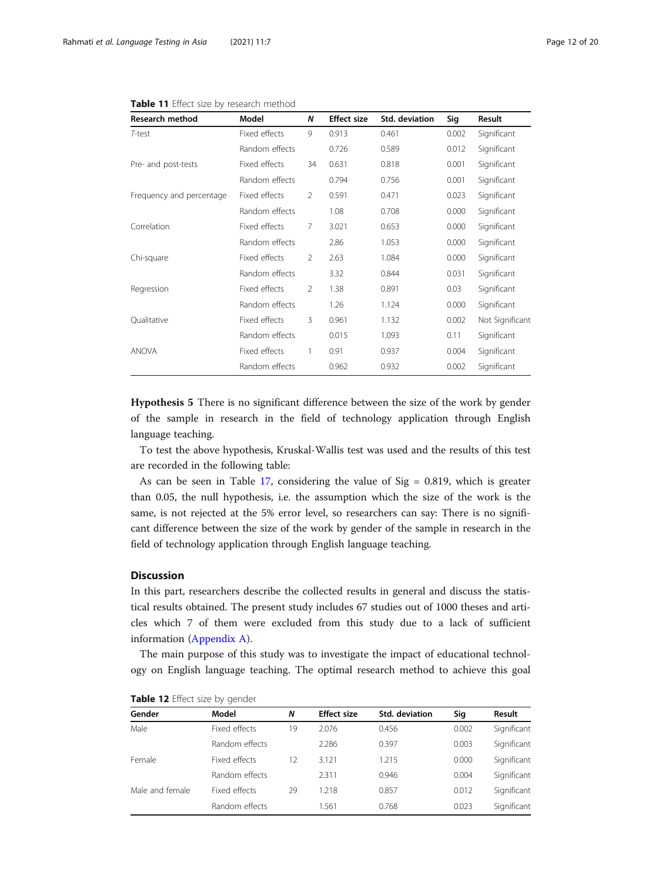| <b>Research method</b>   | Model          | N              | <b>Effect size</b> | Std. deviation | Sig   | Result          |
|--------------------------|----------------|----------------|--------------------|----------------|-------|-----------------|
| T-test                   | Fixed effects  | 9              | 0.913              | 0.461          | 0.002 | Significant     |
|                          | Random effects |                | 0.726              | 0.589          | 0.012 | Significant     |
| Pre- and post-tests      | Fixed effects  | 34             | 0.631              | 0.818          | 0.001 | Significant     |
|                          | Random effects |                | 0.794              | 0.756          | 0.001 | Significant     |
| Frequency and percentage | Fixed effects  | $\mathcal{P}$  | 0.591              | 0.471          | 0.023 | Significant     |
|                          | Random effects |                | 1.08               | 0.708          | 0.000 | Significant     |
| Correlation              | Fixed effects  | $\overline{7}$ | 3.021              | 0.653          | 0.000 | Significant     |
|                          | Random effects |                | 2.86               | 1.053          | 0.000 | Significant     |
| Chi-square               | Fixed effects  | $\mathfrak{D}$ | 2.63               | 1.084          | 0.000 | Significant     |
|                          | Random effects |                | 3.32               | 0.844          | 0.031 | Significant     |
| Regression               | Fixed effects  | $\mathfrak{D}$ | 1.38               | 0.891          | 0.03  | Significant     |
|                          | Random effects |                | 1.26               | 1.124          | 0.000 | Significant     |
| Qualitative              | Fixed effects  | 3              | 0.961              | 1.132          | 0.002 | Not Significant |
|                          | Random effects |                | 0.015              | 1.093          | 0.11  | Significant     |
| <b>ANOVA</b>             | Fixed effects  | 1              | 0.91               | 0.937          | 0.004 | Significant     |
|                          | Random effects |                | 0.962              | 0.932          | 0.002 | Significant     |

<span id="page-11-0"></span>

| Table 11 Effect size by research method |  |
|-----------------------------------------|--|
|-----------------------------------------|--|

Hypothesis 5 There is no significant difference between the size of the work by gender of the sample in research in the field of technology application through English language teaching.

To test the above hypothesis, Kruskal-Wallis test was used and the results of this test are recorded in the following table:

As can be seen in Table [17,](#page-14-0) considering the value of  $Sig = 0.819$ , which is greater than 0.05, the null hypothesis, i.e. the assumption which the size of the work is the same, is not rejected at the 5% error level, so researchers can say: There is no significant difference between the size of the work by gender of the sample in research in the field of technology application through English language teaching.

## Discussion

In this part, researchers describe the collected results in general and discuss the statistical results obtained. The present study includes 67 studies out of 1000 theses and articles which 7 of them were excluded from this study due to a lack of sufficient information [\(Appendix A\)](#page-16-0).

The main purpose of this study was to investigate the impact of educational technology on English language teaching. The optimal research method to achieve this goal

| Gender          | Model          | Ν  | <b>Effect size</b> | Std. deviation | Sig   | Result      |
|-----------------|----------------|----|--------------------|----------------|-------|-------------|
| Male            | Fixed effects  | 19 | 2.076              | 0.456          | 0.002 | Significant |
|                 | Random effects |    | 2.286              | 0.397          | 0.003 | Significant |
| Female          | Fixed effects  | 12 | 3.121              | 1.215          | 0.000 | Significant |
|                 | Random effects |    | 2.311              | 0.946          | 0.004 | Significant |
| Male and female | Fixed effects  | 29 | 1.218              | 0.857          | 0.012 | Significant |
|                 | Random effects |    | 1.561              | 0.768          | 0.023 | Significant |

Table 12 Effect size by gender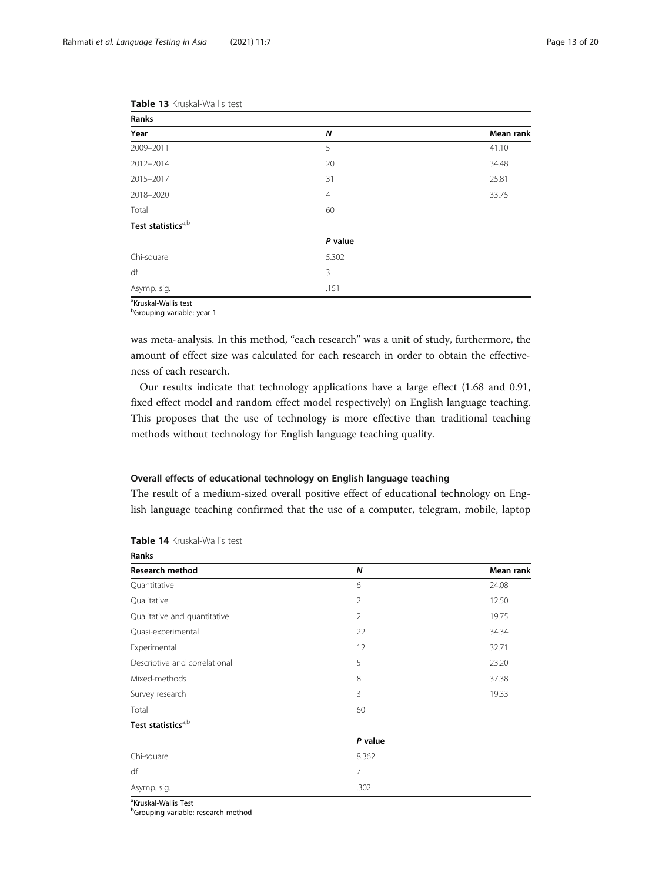| Ranks                          |                |           |
|--------------------------------|----------------|-----------|
| Year                           | N              | Mean rank |
| 2009-2011                      | 5              | 41.10     |
| 2012-2014                      | 20             | 34.48     |
| 2015-2017                      | 31             | 25.81     |
| 2018-2020                      | $\overline{4}$ | 33.75     |
| Total                          | 60             |           |
| Test statistics <sup>a,b</sup> |                |           |
|                                | P value        |           |
| Chi-square                     | 5.302          |           |
| df                             | 3              |           |
| Asymp. sig.                    | .151           |           |

<span id="page-12-0"></span>

|  | <b>Table 13</b> Kruskal-Wallis test |  |
|--|-------------------------------------|--|
|--|-------------------------------------|--|

<sup>a</sup>Kruskal-Wallis test

<sup>b</sup>Grouping variable: year 1

was meta-analysis. In this method, "each research" was a unit of study, furthermore, the amount of effect size was calculated for each research in order to obtain the effectiveness of each research.

Our results indicate that technology applications have a large effect (1.68 and 0.91, fixed effect model and random effect model respectively) on English language teaching. This proposes that the use of technology is more effective than traditional teaching methods without technology for English language teaching quality.

#### Overall effects of educational technology on English language teaching

The result of a medium-sized overall positive effect of educational technology on English language teaching confirmed that the use of a computer, telegram, mobile, laptop

| Ranks                          |                   |           |
|--------------------------------|-------------------|-----------|
| <b>Research method</b>         | Ν                 | Mean rank |
| Quantitative                   | 6                 | 24.08     |
| Qualitative                    | $\overline{2}$    | 12.50     |
| Qualitative and quantitative   | $\overline{2}$    | 19.75     |
| Quasi-experimental             | 22                | 34.34     |
| Experimental                   | $12 \overline{ }$ | 32.71     |
| Descriptive and correlational  | 5                 | 23.20     |
| Mixed-methods                  | 8                 | 37.38     |
| Survey research                | 3                 | 19.33     |
| Total                          | 60                |           |
| Test statistics <sup>a,b</sup> |                   |           |
|                                | P value           |           |
| Chi-square                     | 8.362             |           |
| df                             | $\overline{7}$    |           |
| Asymp. sig.                    | .302              |           |

#### Table 14 Kruskal-Wallis test

<sup>a</sup>Kruskal-Wallis Test

<sup>b</sup>Grouping variable: research method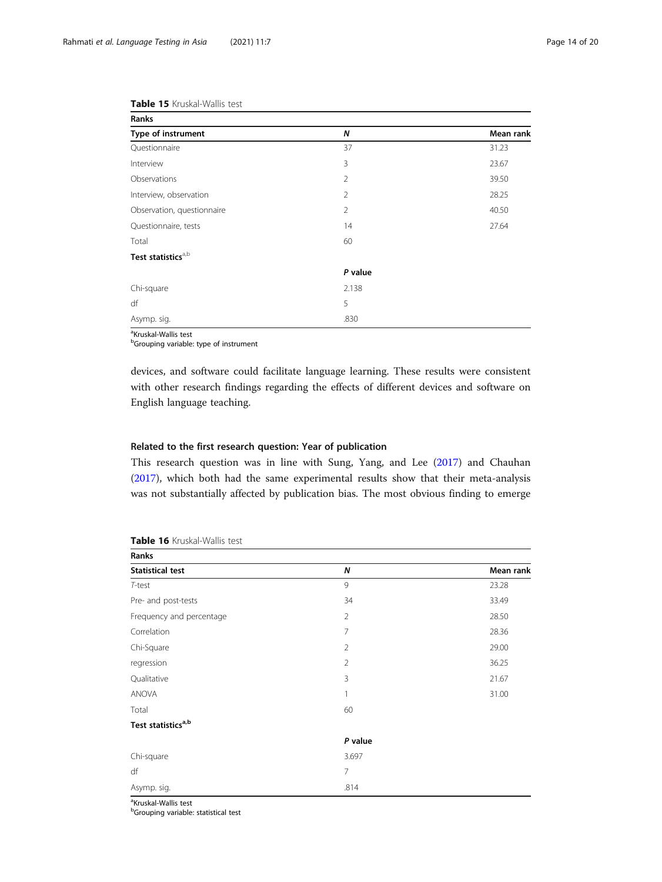| Ranks                          |                |           |
|--------------------------------|----------------|-----------|
| Type of instrument             | N              | Mean rank |
| Questionnaire                  | 37             | 31.23     |
| Interview                      | 3              | 23.67     |
| Observations                   | 2              | 39.50     |
| Interview, observation         | $\overline{2}$ | 28.25     |
| Observation, questionnaire     | $\overline{2}$ | 40.50     |
| Questionnaire, tests           | 14             | 27.64     |
| Total                          | 60             |           |
| Test statistics <sup>a,b</sup> |                |           |
|                                | P value        |           |
| Chi-square                     | 2.138          |           |
| df                             | 5              |           |
| Asymp. sig.                    | .830           |           |

<span id="page-13-0"></span>Table 15 Kruskal-Wallis test

<sup>a</sup>Kruskal-Wallis test

<sup>b</sup>Grouping variable: type of instrument

devices, and software could facilitate language learning. These results were consistent with other research findings regarding the effects of different devices and software on English language teaching.

#### Related to the first research question: Year of publication

This research question was in line with Sung, Yang, and Lee [\(2017\)](#page-19-0) and Chauhan ([2017](#page-17-0)), which both had the same experimental results show that their meta-analysis was not substantially affected by publication bias. The most obvious finding to emerge

| Ranks                          |                |           |
|--------------------------------|----------------|-----------|
| <b>Statistical test</b>        | N              | Mean rank |
| T-test                         | 9              | 23.28     |
| Pre- and post-tests            | 34             | 33.49     |
| Frequency and percentage       | $\overline{2}$ | 28.50     |
| Correlation                    | 7              | 28.36     |
| Chi-Square                     | $\overline{2}$ | 29.00     |
| regression                     | $\overline{2}$ | 36.25     |
| Qualitative                    | 3              | 21.67     |
| ANOVA                          | 1              | 31.00     |
| Total                          | 60             |           |
| Test statistics <sup>a,b</sup> |                |           |
|                                | P value        |           |
| Chi-square                     | 3.697          |           |
| df                             | $\overline{7}$ |           |
| Asymp. sig.                    | .814           |           |

#### Table 16 Kruskal-Wallis test

<sup>a</sup>Kruskal-Wallis test

**bGrouping variable: statistical test**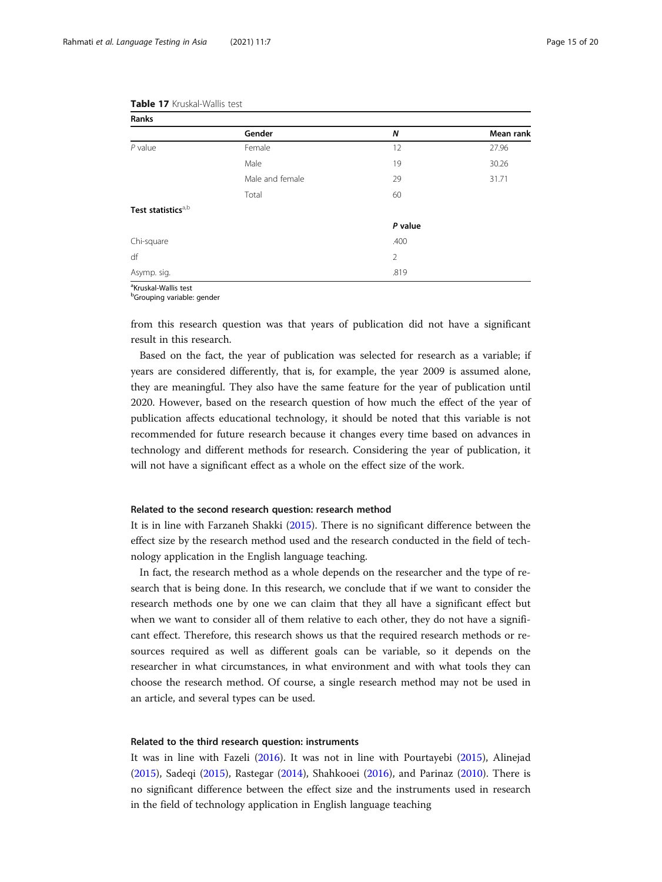| Ranks                          |                 |                |           |
|--------------------------------|-----------------|----------------|-----------|
|                                | Gender          | N              | Mean rank |
| $P$ value                      | Female          | 12             | 27.96     |
|                                | Male            | 19             | 30.26     |
|                                | Male and female | 29             | 31.71     |
|                                | Total           | 60             |           |
| Test statistics <sup>a,b</sup> |                 |                |           |
|                                |                 | P value        |           |
| Chi-square                     |                 | .400           |           |
| df                             |                 | $\overline{2}$ |           |
| Asymp. sig.                    |                 | .819           |           |
|                                |                 |                |           |

#### <span id="page-14-0"></span>Table 17 Kruskal-Wallis test

<sup>a</sup>Kruskal-Wallis test

<sup>b</sup>Grouping variable: gender

from this research question was that years of publication did not have a significant result in this research.

Based on the fact, the year of publication was selected for research as a variable; if years are considered differently, that is, for example, the year 2009 is assumed alone, they are meaningful. They also have the same feature for the year of publication until 2020. However, based on the research question of how much the effect of the year of publication affects educational technology, it should be noted that this variable is not recommended for future research because it changes every time based on advances in technology and different methods for research. Considering the year of publication, it will not have a significant effect as a whole on the effect size of the work.

#### Related to the second research question: research method

It is in line with Farzaneh Shakki ([2015](#page-19-0)). There is no significant difference between the effect size by the research method used and the research conducted in the field of technology application in the English language teaching.

In fact, the research method as a whole depends on the researcher and the type of research that is being done. In this research, we conclude that if we want to consider the research methods one by one we can claim that they all have a significant effect but when we want to consider all of them relative to each other, they do not have a significant effect. Therefore, this research shows us that the required research methods or resources required as well as different goals can be variable, so it depends on the researcher in what circumstances, in what environment and with what tools they can choose the research method. Of course, a single research method may not be used in an article, and several types can be used.

#### Related to the third research question: instruments

It was in line with Fazeli [\(2016\)](#page-17-0). It was not in line with Pourtayebi [\(2015](#page-18-0)), Alinejad ([2015](#page-17-0)), Sadeqi ([2015\)](#page-19-0), Rastegar ([2014\)](#page-19-0), Shahkooei [\(2016](#page-19-0)), and Parinaz ([2010](#page-18-0)). There is no significant difference between the effect size and the instruments used in research in the field of technology application in English language teaching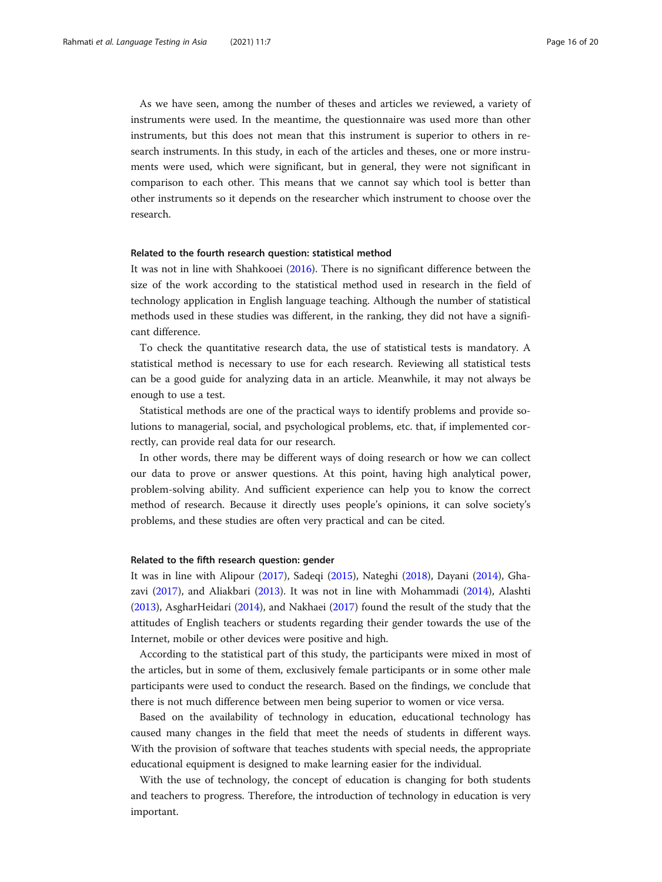As we have seen, among the number of theses and articles we reviewed, a variety of instruments were used. In the meantime, the questionnaire was used more than other instruments, but this does not mean that this instrument is superior to others in research instruments. In this study, in each of the articles and theses, one or more instruments were used, which were significant, but in general, they were not significant in comparison to each other. This means that we cannot say which tool is better than other instruments so it depends on the researcher which instrument to choose over the research.

#### Related to the fourth research question: statistical method

It was not in line with Shahkooei ([2016\)](#page-19-0). There is no significant difference between the size of the work according to the statistical method used in research in the field of technology application in English language teaching. Although the number of statistical methods used in these studies was different, in the ranking, they did not have a significant difference.

To check the quantitative research data, the use of statistical tests is mandatory. A statistical method is necessary to use for each research. Reviewing all statistical tests can be a good guide for analyzing data in an article. Meanwhile, it may not always be enough to use a test.

Statistical methods are one of the practical ways to identify problems and provide solutions to managerial, social, and psychological problems, etc. that, if implemented correctly, can provide real data for our research.

In other words, there may be different ways of doing research or how we can collect our data to prove or answer questions. At this point, having high analytical power, problem-solving ability. And sufficient experience can help you to know the correct method of research. Because it directly uses people's opinions, it can solve society's problems, and these studies are often very practical and can be cited.

#### Related to the fifth research question: gender

It was in line with Alipour ([2017](#page-17-0)), Sadeqi ([2015](#page-19-0)), Nateghi [\(2018\)](#page-18-0), Dayani ([2014](#page-17-0)), Ghazavi [\(2017](#page-17-0)), and Aliakbari [\(2013\)](#page-17-0). It was not in line with Mohammadi [\(2014\)](#page-18-0), Alashti ([2013](#page-17-0)), AsgharHeidari [\(2014\)](#page-17-0), and Nakhaei ([2017](#page-18-0)) found the result of the study that the attitudes of English teachers or students regarding their gender towards the use of the Internet, mobile or other devices were positive and high.

According to the statistical part of this study, the participants were mixed in most of the articles, but in some of them, exclusively female participants or in some other male participants were used to conduct the research. Based on the findings, we conclude that there is not much difference between men being superior to women or vice versa.

Based on the availability of technology in education, educational technology has caused many changes in the field that meet the needs of students in different ways. With the provision of software that teaches students with special needs, the appropriate educational equipment is designed to make learning easier for the individual.

With the use of technology, the concept of education is changing for both students and teachers to progress. Therefore, the introduction of technology in education is very important.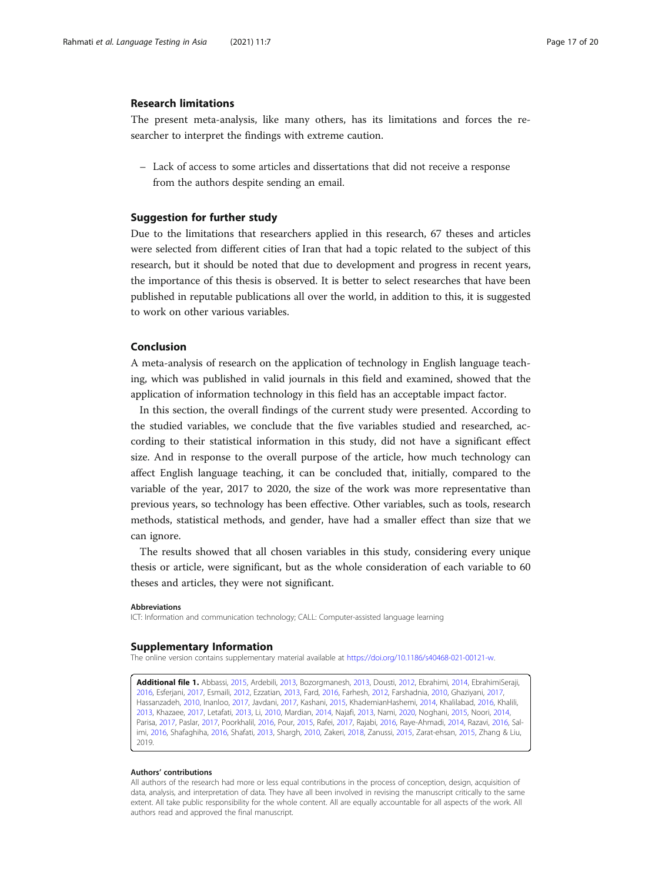#### <span id="page-16-0"></span>Research limitations

The present meta-analysis, like many others, has its limitations and forces the researcher to interpret the findings with extreme caution.

– Lack of access to some articles and dissertations that did not receive a response from the authors despite sending an email.

#### Suggestion for further study

Due to the limitations that researchers applied in this research, 67 theses and articles were selected from different cities of Iran that had a topic related to the subject of this research, but it should be noted that due to development and progress in recent years, the importance of this thesis is observed. It is better to select researches that have been published in reputable publications all over the world, in addition to this, it is suggested to work on other various variables.

#### Conclusion

A meta-analysis of research on the application of technology in English language teaching, which was published in valid journals in this field and examined, showed that the application of information technology in this field has an acceptable impact factor.

In this section, the overall findings of the current study were presented. According to the studied variables, we conclude that the five variables studied and researched, according to their statistical information in this study, did not have a significant effect size. And in response to the overall purpose of the article, how much technology can affect English language teaching, it can be concluded that, initially, compared to the variable of the year, 2017 to 2020, the size of the work was more representative than previous years, so technology has been effective. Other variables, such as tools, research methods, statistical methods, and gender, have had a smaller effect than size that we can ignore.

The results showed that all chosen variables in this study, considering every unique thesis or article, were significant, but as the whole consideration of each variable to 60 theses and articles, they were not significant.

#### Abbreviations

ICT: Information and communication technology; CALL: Computer-assisted language learning

#### Supplementary Information

The online version contains supplementary material available at <https://doi.org/10.1186/s40468-021-00121-w>.

Additional file 1. Abbassi, 2015, Ardebili, 2013, Bozorgmanesh, 2013, Dousti, 2012, Ebrahimi, 2014, EbrahimiSeraji, 2016, Esferjani, 2017, Esmaili, 2012, Ezzatian, 2013, Fard, 2016, Farhesh, 2012, Farshadnia, 2010, Ghaziyani, 2017, Hassanzadeh, 2010, Inanloo, 2017, Javdani, 2017, Kashani, 2015, KhademianHashemi, 2014, Khalilabad, 2016, Khalili, 2013, Khazaee, 2017, Letafati, 2013, Li, 2010, Mardian, 2014, Najafi, 2013, Nami, 2020, Noghani, 2015, Noori, 2014, Parisa, 2017, Paslar, 2017, Poorkhalil, 2016, Pour, 2015, Rafei, 2017, Rajabi, 2016, Raye-Ahmadi, 2014, Razavi, 2016, Salimi, 2016, Shafaghiha, 2016, Shafati, 2013, Shargh, 2010, Zakeri, 2018, Zanussi, 2015, Zarat-ehsan, 2015, Zhang & Liu, 2019.

#### Authors' contributions

All authors of the research had more or less equal contributions in the process of conception, design, acquisition of data, analysis, and interpretation of data. They have all been involved in revising the manuscript critically to the same extent. All take public responsibility for the whole content. All are equally accountable for all aspects of the work. All authors read and approved the final manuscript.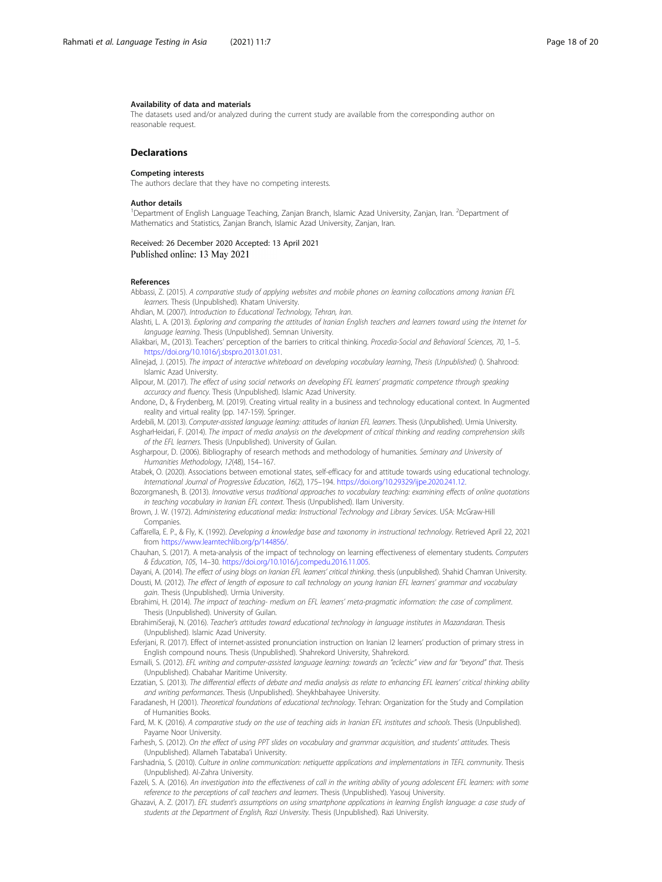#### <span id="page-17-0"></span>Availability of data and materials

The datasets used and/or analyzed during the current study are available from the corresponding author on reasonable request.

#### **Declarations**

#### Competing interests

The authors declare that they have no competing interests.

#### Author details

<sup>1</sup>Department of English Language Teaching, Zanjan Branch, Islamic Azad University, Zanjan, Iran. <sup>2</sup>Department of Mathematics and Statistics, Zanjan Branch, Islamic Azad University, Zanjan, Iran.

#### Received: 26 December 2020 Accepted: 13 April 2021 Published online: 13 May 2021

#### References

Abbassi, Z. (2015). A comparative study of applying websites and mobile phones on learning collocations among Iranian EFL learners. Thesis (Unpublished). Khatam University.

Ahdian, M. (2007). Introduction to Educational Technology, Tehran, Iran.

- Alashti, L. A. (2013). Exploring and comparing the attitudes of Iranian English teachers and learners toward using the Internet for language learning. Thesis (Unpublished). Semnan University.
- Aliakbari, M., (2013). Teachers' perception of the barriers to critical thinking. Procedia-Social and Behavioral Sciences, 70, 1–5. [https://doi.org/10.1016/j.sbspro.2013.01.031.](https://doi.org/10.1016/j.sbspro.2013.01.031)
- Alinejad, J. (2015). The impact of interactive whiteboard on developing vocabulary learning, Thesis (Unpublished) (). Shahrood: Islamic Azad University.

Alipour, M. (2017). The effect of using social networks on developing EFL learners' pragmatic competence through speaking accuracy and fluency. Thesis (Unpublished). Islamic Azad University.

Andone, D., & Frydenberg, M. (2019). Creating virtual reality in a business and technology educational context. In Augmented reality and virtual reality (pp. 147-159). Springer.

Ardebili, M. (2013). Computer-assisted language learning: attitudes of Iranian EFL learners. Thesis (Unpublished). Urmia University. AsgharHeidari, F. (2014). The impact of media analysis on the development of critical thinking and reading comprehension skills

- of the EFL learners. Thesis (Unpublished). University of Guilan. Asgharpour, D. (2006). Bibliography of research methods and methodology of humanities. Seminary and University of Humanities Methodology, 12(48), 154–167.
- Atabek, O. (2020). Associations between emotional states, self-efficacy for and attitude towards using educational technology. International Journal of Progressive Education, 16(2), 175–194. <https://doi.org/10.29329/ijpe.2020.241.12>.
- Bozorgmanesh, B. (2013). Innovative versus traditional approaches to vocabulary teaching: examining effects of online quotations in teaching vocabulary in Iranian EFL context. Thesis (Unpublished). Ilam University.
- Brown, J. W. (1972). Administering educational media: Instructional Technology and Library Services. USA: McGraw-Hill Companies.

Caffarella, E. P., & Fly, K. (1992). Developing a knowledge base and taxonomy in instructional technology. Retrieved April 22, 2021 from https://www.learntechlib.org/p/144856/

Chauhan, S. (2017). A meta-analysis of the impact of technology on learning effectiveness of elementary students. Computers & Education, 105, 14–30. [https://doi.org/10.1016/j.compedu.2016.11.005.](https://doi.org/10.1016/j.compedu.2016.11.005)

Dayani, A. (2014). The effect of using blogs on Iranian EFL learners' critical thinking. thesis (unpublished). Shahid Chamran University. Dousti, M. (2012). The effect of length of exposure to call technology on young Iranian EFL learners' grammar and vocabulary gain. Thesis (Unpublished). Urmia University.

Ebrahimi, H. (2014). The impact of teaching- medium on EFL learners' meta-pragmatic information: the case of compliment. Thesis (Unpublished). University of Guilan.

- EbrahimiSeraji, N. (2016). Teacher's attitudes toward educational technology in language institutes in Mazandaran. Thesis (Unpublished). Islamic Azad University.
- Esferjani, R. (2017). Effect of internet-assisted pronunciation instruction on Iranian l2 learners' production of primary stress in English compound nouns. Thesis (Unpublished). Shahrekord University, Shahrekord.

Esmaili, S. (2012). EFL writing and computer-assisted language learning: towards an "eclectic" view and far "beyond" that. Thesis (Unpublished). Chabahar Maritime University.

Ezzatian, S. (2013). The differential effects of debate and media analysis as relate to enhancing EFL learners' critical thinking ability and writing performances. Thesis (Unpublished). Sheykhbahayee University.

Faradanesh, H (2001). Theoretical foundations of educational technology. Tehran: Organization for the Study and Compilation of Humanities Books.

Fard, M. K. (2016). A comparative study on the use of teaching aids in Iranian EFL institutes and schools. Thesis (Unpublished). Payame Noor University.

Farhesh, S. (2012). On the effect of using PPT slides on vocabulary and grammar acquisition, and students' attitudes. Thesis (Unpublished). Allameh Tabataba'i University.

- Farshadnia, S. (2010). Culture in online communication: netiquette applications and implementations in TEFL community. Thesis (Unpublished). Al-Zahra University.
- Fazeli, S. A. (2016). An investigation into the effectiveness of call in the writing ability of young adolescent EFL learners: with some reference to the perceptions of call teachers and learners. Thesis (Unpublished). Yasouj University.
- Ghazavi, A. Z. (2017). EFL student's assumptions on using smartphone applications in learning English language: a case study of students at the Department of English, Razi University. Thesis (Unpublished). Razi University.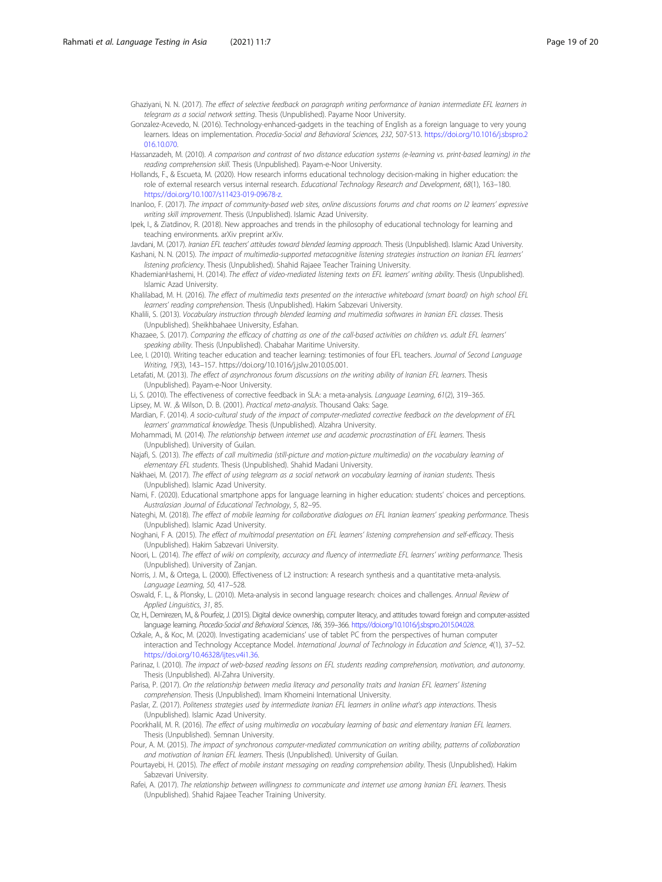<span id="page-18-0"></span>Ghaziyani, N. N. (2017). The effect of selective feedback on paragraph writing performance of Iranian intermediate EFL learners in telegram as a social network setting. Thesis (Unpublished). Payame Noor University.

Gonzalez-Acevedo, N. (2016). Technology-enhanced-gadgets in the teaching of English as a foreign language to very young learners. Ideas on implementation. Procedia-Social and Behavioral Sciences, 232, 507-513. [https://doi.org/10.1016/j.sbspro.2](https://doi.org/10.1016/j.sbspro.2016.10.070) [016.10.070](https://doi.org/10.1016/j.sbspro.2016.10.070).

- Hassanzadeh, M. (2010). A comparison and contrast of two distance education systems (e-learning vs. print-based learning) in the reading comprehension skill. Thesis (Unpublished). Payam-e-Noor University.
- Hollands, F., & Escueta, M. (2020). How research informs educational technology decision-making in higher education: the role of external research versus internal research. Educational Technology Research and Development, 68(1), 163–180. [https://doi.org/10.1007/s11423-019-09678-z.](https://doi.org/10.1007/s11423-019-09678-z)
- Inanloo, F. (2017). The impact of community-based web sites, online discussions forums and chat rooms on l2 learners' expressive writing skill improvement. Thesis (Unpublished). Islamic Azad University.
- Ipek, I., & Ziatdinov, R. (2018). New approaches and trends in the philosophy of educational technology for learning and teaching environments. arXiv preprint arXiv.

Javdani, M. (2017). Iranian EFL teachers' attitudes toward blended learning approach. Thesis (Unpublished). Islamic Azad University. Kashani, N. N. (2015). The impact of multimedia-supported metacognitive listening strategies instruction on Iranian EFL learners' listening proficiency. Thesis (Unpublished). Shahid Rajaee Teacher Training University.

- KhademianHashemi, H. (2014). The effect of video-mediated listening texts on EFL learners' writing ability. Thesis (Unpublished). Islamic Azad University.
- Khalilabad, M. H. (2016). The effect of multimedia texts presented on the interactive whiteboard (smart board) on high school EFL learners' reading comprehension. Thesis (Unpublished). Hakim Sabzevari University.

Khalili, S. (2013). Vocabulary instruction through blended learning and multimedia softwares in Iranian EFL classes. Thesis (Unpublished). Sheikhbahaee University, Esfahan.

- Khazaee, S. (2017). Comparing the efficacy of chatting as one of the call-based activities on children vs. adult EFL learners' speaking ability. Thesis (Unpublished). Chabahar Maritime University.
- Lee, I. (2010). Writing teacher education and teacher learning: testimonies of four EFL teachers. Journal of Second Language Writing, 19(3), 143–157. https://doi.org/10.1016/j.jslw.2010.05.001.
- Letafati, M. (2013). The effect of asynchronous forum discussions on the writing ability of Iranian EFL learners. Thesis (Unpublished). Payam-e-Noor University.

Li, S. (2010). The effectiveness of corrective feedback in SLA: a meta-analysis. Language Learning, 61(2), 319–365. Lipsey, M. W. ,& Wilson, D. B. (2001). Practical meta-analysis. Thousand Oaks: Sage.

- Mardian, F. (2014). A socio-cultural study of the impact of computer-mediated corrective feedback on the development of EFL learners' grammatical knowledge. Thesis (Unpublished). Alzahra University.
- Mohammadi, M. (2014). The relationship between internet use and academic procrastination of EFL learners. Thesis (Unpublished). University of Guilan.
- Najafi, S. (2013). The effects of call multimedia (still-picture and motion-picture multimedia) on the vocabulary learning of elementary EFL students. Thesis (Unpublished). Shahid Madani University.
- Nakhaei, M. (2017). The effect of using telegram as a social network on vocabulary learning of iranian students. Thesis (Unpublished). Islamic Azad University.
- Nami, F. (2020). Educational smartphone apps for language learning in higher education: students' choices and perceptions. Australasian Journal of Educational Technology, 5, 82–95.
- Nateghi, M. (2018). The effect of mobile learning for collaborative dialogues on EFL Iranian learners' speaking performance. Thesis (Unpublished). Islamic Azad University.
- Noghani, F A. (2015). The effect of multimodal presentation on EFL learners' listening comprehension and self-efficacy. Thesis (Unpublished). Hakim Sabzevari University.
- Noori, L. (2014). The effect of wiki on complexity, accuracy and fluency of intermediate EFL learners' writing performance. Thesis (Unpublished). University of Zanjan.
- Norris, J. M., & Ortega, L. (2000). Effectiveness of L2 instruction: A research synthesis and a quantitative meta-analysis. Language Learning, 50, 417–528.
- Oswald, F. L., & Plonsky, L. (2010). Meta-analysis in second language research: choices and challenges. Annual Review of Applied Linguistics, 31, 85.
- Oz, H., Demirezen, M., & Pourfeiz, J. (2015). Digital device ownership, computer literacy, and attitudes toward foreign and computer-assisted language learning. Procedia-Social and Behavioral Sciences, 186, 359–366. [https://doi.org/10.1016/j.sbspro.2015.04.028.](https://doi.org/10.1016/j.sbspro.2015.04.028)

Ozkale, A., & Koc, M. (2020). Investigating academicians' use of tablet PC from the perspectives of human computer interaction and Technology Acceptance Model. International Journal of Technology in Education and Science, 4(1), 37–52. <https://doi.org/10.46328/ijtes.v4i1.36>.

- Parinaz, I. (2010). The impact of web-based reading lessons on EFL students reading comprehension, motivation, and autonomy. Thesis (Unpublished). Al-Zahra University.
- Parisa, P. (2017). On the relationship between media literacy and personality traits and Iranian EFL learners' listening comprehension. Thesis (Unpublished). Imam Khomeini International University.
- Paslar, Z. (2017). Politeness strategies used by intermediate Iranian EFL learners in online what's app interactions. Thesis (Unpublished). Islamic Azad University.
- Poorkhalil, M. R. (2016). The effect of using multimedia on vocabulary learning of basic and elementary Iranian EFL learners. Thesis (Unpublished). Semnan University.
- Pour, A. M. (2015). The impact of synchronous computer-mediated communication on writing ability, patterns of collaboration and motivation of Iranian EFL learners. Thesis (Unpublished). University of Guilan.
- Pourtayebi, H. (2015). The effect of mobile instant messaging on reading comprehension ability. Thesis (Unpublished). Hakim Sabzevari University.
- Rafei, A. (2017). The relationship between willingness to communicate and internet use among Iranian EFL learners. Thesis (Unpublished). Shahid Rajaee Teacher Training University.